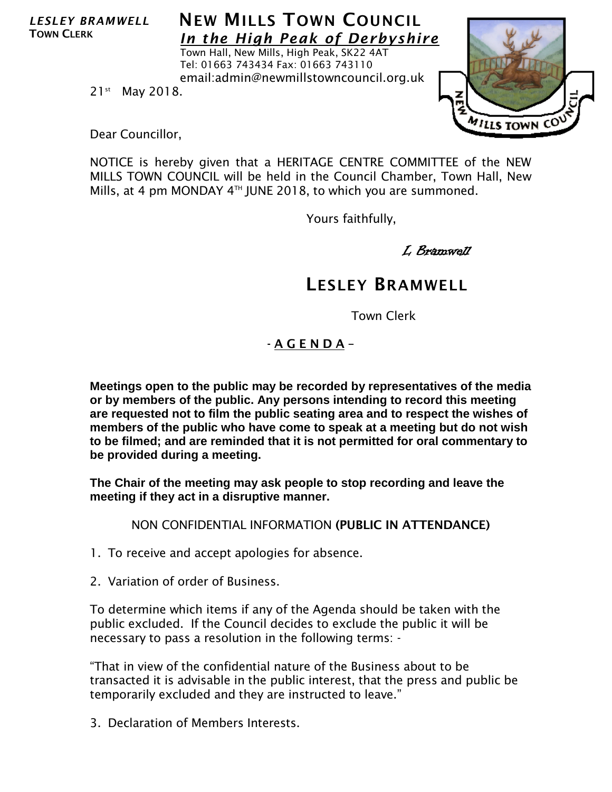*LESLEY BRAMWELL* TOWN CLERK

## **NEW MILLS TOWN COUNCIL** *In the High Peak of Derbyshire*

Town Hall, New Mills, High Peak, SK22 4AT Tel: 01663 743434 Fax: 01663 743110 email:admin@newmillstowncouncil.org.uk



21<sup>st</sup> May 2018.

Dear Councillor,

NOTICE is hereby given that a HERITAGE CENTRE COMMITTEE of the NEW MILLS TOWN COUNCIL will be held in the Council Chamber, Town Hall, New Mills, at 4 pm MONDAY  $4<sup>TH</sup>$  JUNE 2018, to which you are summoned.

Yours faithfully,

L Bramwell

## LESLEY BRAMWELL

Town Clerk

## - A G E N D A –

**Meetings open to the public may be recorded by representatives of the media or by members of the public. Any persons intending to record this meeting are requested not to film the public seating area and to respect the wishes of members of the public who have come to speak at a meeting but do not wish to be filmed; and are reminded that it is not permitted for oral commentary to be provided during a meeting.**

**The Chair of the meeting may ask people to stop recording and leave the meeting if they act in a disruptive manner.**

NON CONFIDENTIAL INFORMATION (PUBLIC IN ATTENDANCE)

- 1. To receive and accept apologies for absence.
- 2. Variation of order of Business.

To determine which items if any of the Agenda should be taken with the public excluded. If the Council decides to exclude the public it will be necessary to pass a resolution in the following terms: -

"That in view of the confidential nature of the Business about to be transacted it is advisable in the public interest, that the press and public be temporarily excluded and they are instructed to leave."

3. Declaration of Members Interests.